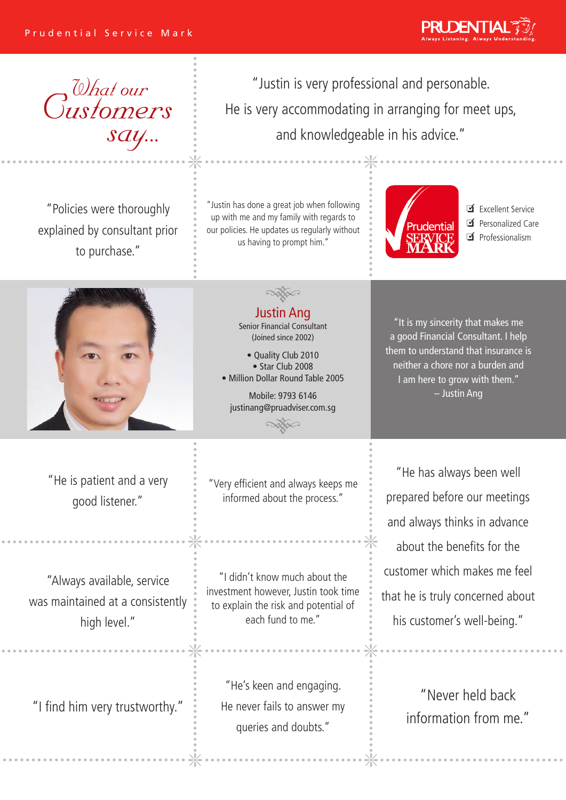



"Policies were thoroughly explained by consultant prior to purchase."

"Justin is very professional and personable. He is very accommodating in arranging for meet ups, and knowledgeable in his advice."

"Justin has done a great job when following up with me and my family with regards to our policies. He updates us regularly without us having to prompt him."

> Justin Ang Senior Financial Consultant (Joined since 2002) • Quality Club 2010 • Star Club 2008 • Million Dollar Round Table 2005 Mobile: 9793 6146 justinang@pruadviser.com.sg

Prudential

■ Excellent Service **■** Personalized Care Ø Professionalism



"He is patient and a very good listener."

"Always available, service was maintained at a consistently high level."

"Very efficient and always keeps me informed about the process."

"I didn't know much about the investment however, Justin took time to explain the risk and potential of each fund to me."

"He's keen and engaging. He never fails to answer my queries and doubts." If find him very trustworthy."  $\frac{1}{2}$  He never fails to answer my information from me."

"It is my sincerity that makes me a good Financial Consultant. I help them to understand that insurance is neither a chore nor a burden and I am here to grow with them." – Justin Ang

"He has always been well prepared before our meetings and always thinks in advance about the benefits for the customer which makes me feel that he is truly concerned about his customer's well-being."

"Never held back